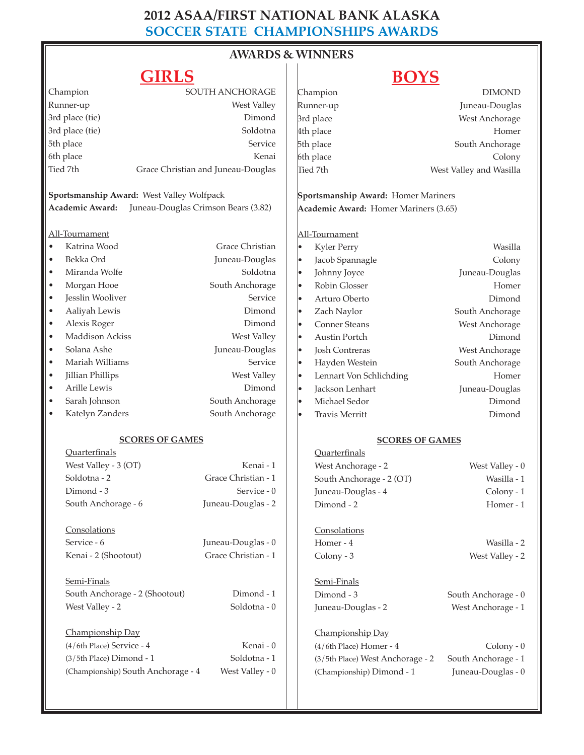# **2012 ASAA/FIRST NATIONAL BANK ALASKA SOCCER STATE CHAMPIONSHIPS AWARDS**

### **AWARDS & WINNERS**  $\vert$

## **GIRLS**

# **BOYS**

|                                                        | ------                                    |                     | - -                                   | -- |                         |  |
|--------------------------------------------------------|-------------------------------------------|---------------------|---------------------------------------|----|-------------------------|--|
| Champion                                               |                                           | SOUTH ANCHORAGE     | Champion                              |    | <b>DIMOND</b>           |  |
| Runner-up                                              |                                           | West Valley         | Runner-up                             |    | Juneau-Douglas          |  |
| 3rd place (tie)                                        |                                           | Dimond              | 3rd place                             |    | West Anchorage          |  |
| 3rd place (tie)                                        |                                           | Soldotna            | 4th place                             |    | Homer                   |  |
| 5th place                                              |                                           | Service             | 5th place                             |    | South Anchorage         |  |
| 6th place                                              |                                           | Kenai               | 6th place                             |    | Colony                  |  |
| Tied 7th                                               | Grace Christian and Juneau-Douglas        |                     | Tied 7th                              |    | West Valley and Wasilla |  |
|                                                        | Sportsmanship Award: West Valley Wolfpack |                     | Sportsmanship Award: Homer Mariners   |    |                         |  |
| Academic Award:<br>Juneau-Douglas Crimson Bears (3.82) |                                           |                     | Academic Award: Homer Mariners (3.65) |    |                         |  |
| All-Tournament                                         |                                           |                     | All-Tournament                        |    |                         |  |
| Katrina Wood<br>$\bullet$                              |                                           | Grace Christian     | Kyler Perry<br>$\bullet$              |    | Wasilla                 |  |
| Bekka Ord<br>$\bullet$                                 |                                           | Juneau-Douglas      | Jacob Spannagle<br>lo                 |    | Colony                  |  |
| Miranda Wolfe<br>$\bullet$                             |                                           | Soldotna            | Johnny Joyce<br>l.                    |    | Juneau-Douglas          |  |
| Morgan Hooe<br>$\bullet$                               |                                           | South Anchorage     | Robin Glosser<br>l.                   |    | Homer                   |  |
| Jesslin Wooliver<br>$\bullet$                          |                                           | Service             | Arturo Oberto<br>l.                   |    | Dimond                  |  |
| Aaliyah Lewis<br>$\bullet$                             |                                           | Dimond              | Zach Naylor<br>l.                     |    | South Anchorage         |  |
| Alexis Roger<br>$\bullet$                              |                                           | Dimond              | Conner Steans<br>l.                   |    | West Anchorage          |  |
| Maddison Ackiss<br>$\bullet$                           |                                           | West Valley         | Austin Portch<br>le.                  |    | Dimond                  |  |
| Solana Ashe<br>$\bullet$                               |                                           | Juneau-Douglas      | <b>Josh Contreras</b><br>lo           |    | West Anchorage          |  |
| Mariah Williams<br>$\bullet$                           |                                           | Service             | Hayden Westein<br>lo                  |    | South Anchorage         |  |
| Jillian Phillips<br>$\bullet$                          |                                           | West Valley         | Lennart Von Schlichding<br>l.         |    | Homer                   |  |
| Arille Lewis<br>$\bullet$                              |                                           | Dimond              | Jackson Lenhart<br>l.                 |    | Juneau-Douglas          |  |
| Sarah Johnson<br>$\bullet$                             |                                           | South Anchorage     | Michael Sedor<br>l.                   |    | Dimond                  |  |
| Katelyn Zanders<br>$\bullet$                           |                                           | South Anchorage     | <b>Travis Merritt</b>                 |    | Dimond                  |  |
| <b>SCORES OF GAMES</b>                                 |                                           |                     | <b>SCORES OF GAMES</b>                |    |                         |  |
| <b>Quarterfinals</b>                                   |                                           |                     | Quarterfinals                         |    |                         |  |
| West Valley - 3 (OT)                                   |                                           | Kenai - 1           | West Anchorage - 2                    |    | West Valley - 0         |  |
| Soldotna - 2                                           |                                           | Grace Christian - 1 | South Anchorage - 2 (OT)              |    | Wasilla - 1             |  |
| Dimond - 3                                             |                                           | Service - 0         | Juneau-Douglas - 4                    |    | Colony - 1              |  |
| South Anchorage - 6                                    |                                           | Juneau-Douglas - 2  | Dimond - 2                            |    | Homer - 1               |  |
| Consolations                                           |                                           |                     | Consolations                          |    |                         |  |
| Service - 6                                            |                                           | Juneau-Douglas - 0  | Homer - 4                             |    | Wasilla - 2             |  |
| Kenai - 2 (Shootout)                                   |                                           | Grace Christian - 1 | Colony - 3                            |    | West Valley - 2         |  |
| Semi-Finals                                            |                                           |                     | Semi-Finals                           |    |                         |  |
|                                                        | South Anchorage - 2 (Shootout)            | Dimond - 1          | Dimond - 3                            |    | South Anchorage - 0     |  |
| West Valley - 2                                        |                                           | Soldotna - 0        | Juneau-Douglas - 2                    |    | West Anchorage - 1      |  |
| Championship Day                                       |                                           |                     | Championship Day                      |    |                         |  |
| $(4/6th$ Place) Service - 4                            |                                           | Kenai - 0           | $(4/6th$ Place) Homer - $4$           |    | $Colony - 0$            |  |
| (3/5th Place) Dimond - 1                               |                                           | Soldotna - 1        | (3/5th Place) West Anchorage - 2      |    | South Anchorage - 1     |  |
|                                                        | (Championship) South Anchorage - 4        | West Valley - 0     | (Championship) Dimond - 1             |    | Juneau-Douglas - 0      |  |
|                                                        |                                           |                     |                                       |    |                         |  |